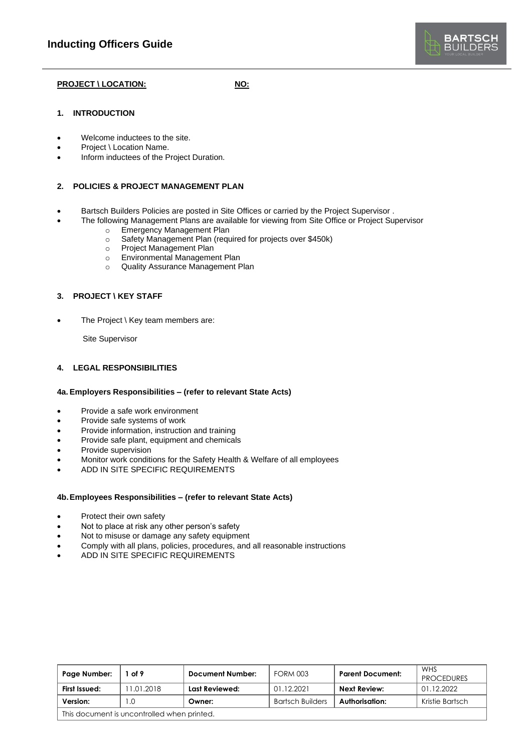

## **PROJECT \ LOCATION: NO:**

### **1. INTRODUCTION**

- Welcome inductees to the site.
- Project \ Location Name.
- Inform inductees of the Project Duration.

### **2. POLICIES & PROJECT MANAGEMENT PLAN**

- Bartsch Builders Policies are posted in Site Offices or carried by the Project Supervisor .
	- The following Management Plans are available for viewing from Site Office or Project Supervisor
	- o Emergency Management Plan
		- o Safety Management Plan (required for projects over \$450k)
		- o Project Management Plan
		- o Environmental Management Plan
		- o Quality Assurance Management Plan

#### **3. PROJECT \ KEY STAFF**

The Project \ Key team members are:

Site Supervisor

#### **4. LEGAL RESPONSIBILITIES**

#### **4a. Employers Responsibilities – (refer to relevant State Acts)**

- Provide a safe work environment
- Provide safe systems of work
- Provide information, instruction and training
- Provide safe plant, equipment and chemicals
- Provide supervision
- Monitor work conditions for the Safety Health & Welfare of all employees
- ADD IN SITE SPECIFIC REQUIREMENTS

#### **4b.Employees Responsibilities – (refer to relevant State Acts)**

- Protect their own safety
- Not to place at risk any other person's safety
- Not to misuse or damage any safety equipment
- Comply with all plans, policies, procedures, and all reasonable instructions
- ADD IN SITE SPECIFIC REQUIREMENTS

| Page Number:                                | of 9      | Document Number: | <b>FORM 003</b>         | <b>Parent Document:</b> | <b>WHS</b><br><b>PROCEDURES</b> |
|---------------------------------------------|-----------|------------------|-------------------------|-------------------------|---------------------------------|
| First Issued:                               | 1.01.2018 | Last Reviewed:   | 01.12.2021              | Next Review:            | 01.12.2022                      |
| Version:                                    | $\Omega$  | Owner:           | <b>Bartsch Builders</b> | Authorisation:          | Kristie Bartsch                 |
| This document is uncontrolled when printed. |           |                  |                         |                         |                                 |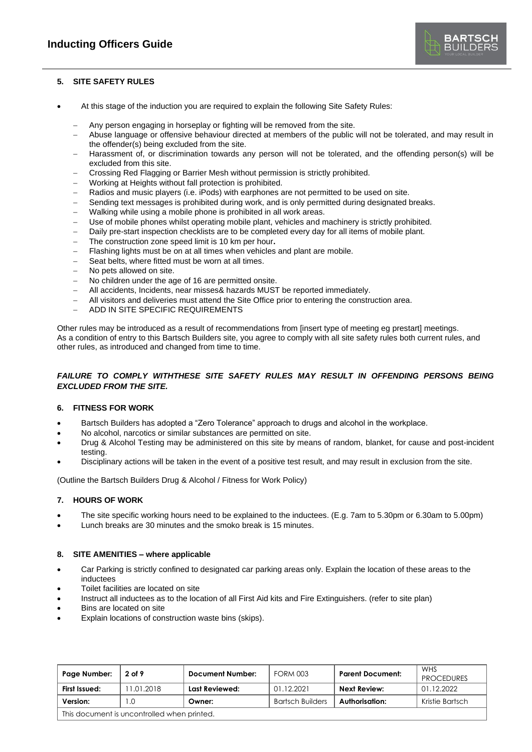

## **5. SITE SAFETY RULES**

- At this stage of the induction you are required to explain the following Site Safety Rules:
	- Any person engaging in horseplay or fighting will be removed from the site.
	- − Abuse language or offensive behaviour directed at members of the public will not be tolerated, and may result in the offender(s) being excluded from the site.
	- − Harassment of, or discrimination towards any person will not be tolerated, and the offending person(s) will be excluded from this site.
	- − Crossing Red Flagging or Barrier Mesh without permission is strictly prohibited.
	- − Working at Heights without fall protection is prohibited.
	- Radios and music players (i.e. iPods) with earphones are not permitted to be used on site.
	- Sending text messages is prohibited during work, and is only permitted during designated breaks.
	- − Walking while using a mobile phone is prohibited in all work areas.
	- Use of mobile phones whilst operating mobile plant, vehicles and machinery is strictly prohibited.
	- Daily pre-start inspection checklists are to be completed every day for all items of mobile plant.
	- − The construction zone speed limit is 10 km per hour**.**
	- − Flashing lights must be on at all times when vehicles and plant are mobile.
	- Seat belts, where fitted must be worn at all times.
	- No pets allowed on site.
	- − No children under the age of 16 are permitted onsite.
	- − All accidents, Incidents, near misses& hazards MUST be reported immediately.
	- − All visitors and deliveries must attend the Site Office prior to entering the construction area.
	- − ADD IN SITE SPECIFIC REQUIREMENTS

Other rules may be introduced as a result of recommendations from [insert type of meeting eg prestart] meetings. As a condition of entry to this Bartsch Builders site, you agree to comply with all site safety rules both current rules, and other rules, as introduced and changed from time to time.

# *FAILURE TO COMPLY WITHTHESE SITE SAFETY RULES MAY RESULT IN OFFENDING PERSONS BEING EXCLUDED FROM THE SITE.*

## **6. FITNESS FOR WORK**

- Bartsch Builders has adopted a "Zero Tolerance" approach to drugs and alcohol in the workplace.
- No alcohol, narcotics or similar substances are permitted on site.
- Drug & Alcohol Testing may be administered on this site by means of random, blanket, for cause and post-incident testing.
- Disciplinary actions will be taken in the event of a positive test result, and may result in exclusion from the site.

(Outline the Bartsch Builders Drug & Alcohol / Fitness for Work Policy)

## **7. HOURS OF WORK**

- The site specific working hours need to be explained to the inductees. (E.g. 7am to 5.30pm or 6.30am to 5.00pm)
- Lunch breaks are 30 minutes and the smoko break is 15 minutes.

## **8. SITE AMENITIES – where applicable**

- Car Parking is strictly confined to designated car parking areas only. Explain the location of these areas to the inductees
- Toilet facilities are located on site
- Instruct all inductees as to the location of all First Aid kits and Fire Extinguishers. (refer to site plan)
- Bins are located on site
- Explain locations of construction waste bins (skips).

| Page Number:                                | 2 of 9    | <b>Document Number:</b> | <b>FORM 003</b>         | <b>Parent Document:</b> | WHS<br><b>PROCEDURES</b> |  |
|---------------------------------------------|-----------|-------------------------|-------------------------|-------------------------|--------------------------|--|
| First Issued:                               | 1.01.2018 | Last Reviewed:          | 01.12.2021              | <b>Next Review:</b>     | 01.12.2022               |  |
| Version:                                    | $\Omega$  | Owner:                  | <b>Bartsch Builders</b> | Authorisation:          | Kristie Bartsch          |  |
| This document is uncontrolled when printed. |           |                         |                         |                         |                          |  |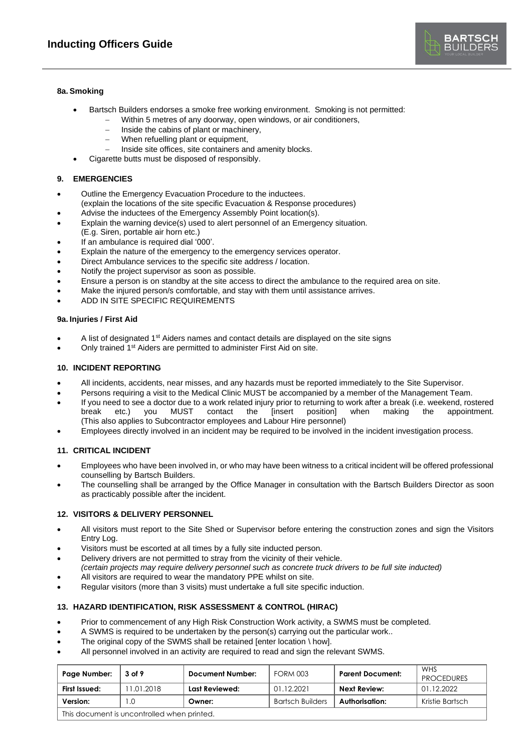

### **8a. Smoking**

- Bartsch Builders endorses a smoke free working environment. Smoking is not permitted:
	- Within 5 metres of any doorway, open windows, or air conditioners,
		- − Inside the cabins of plant or machinery,
		- When refuelling plant or equipment,
		- Inside site offices, site containers and amenity blocks.
- Cigarette butts must be disposed of responsibly.

## **9. EMERGENCIES**

- Outline the Emergency Evacuation Procedure to the inductees.
- (explain the locations of the site specific Evacuation & Response procedures)
- Advise the inductees of the Emergency Assembly Point location(s).
- Explain the warning device(s) used to alert personnel of an Emergency situation.
- (E.g. Siren, portable air horn etc.)
- If an ambulance is required dial '000'.
- Explain the nature of the emergency to the emergency services operator.
- Direct Ambulance services to the specific site address / location.
- Notify the project supervisor as soon as possible.
- Ensure a person is on standby at the site access to direct the ambulance to the required area on site.
- Make the injured person/s comfortable, and stay with them until assistance arrives.
- ADD IN SITE SPECIFIC REQUIREMENTS

### **9a. Injuries / First Aid**

- A list of designated 1st Aiders names and contact details are displayed on the site signs
- Only trained 1<sup>st</sup> Aiders are permitted to administer First Aid on site.

### **10. INCIDENT REPORTING**

- All incidents, accidents, near misses, and any hazards must be reported immediately to the Site Supervisor.
- Persons requiring a visit to the Medical Clinic MUST be accompanied by a member of the Management Team.
- If you need to see a doctor due to a work related injury prior to returning to work after a break (i.e. weekend, rostered break etc.) you MUST contact the [insert position] when making the appointment. break etc.) you MUST contact the [insert position] when making the appointment. (This also applies to Subcontractor employees and Labour Hire personnel)
- Employees directly involved in an incident may be required to be involved in the incident investigation process.

## **11. CRITICAL INCIDENT**

- Employees who have been involved in, or who may have been witness to a critical incident will be offered professional counselling by Bartsch Builders.
- The counselling shall be arranged by the Office Manager in consultation with the Bartsch Builders Director as soon as practicably possible after the incident.

### **12. VISITORS & DELIVERY PERSONNEL**

- All visitors must report to the Site Shed or Supervisor before entering the construction zones and sign the Visitors Entry Log.
- Visitors must be escorted at all times by a fully site inducted person.
- Delivery drivers are not permitted to stray from the vicinity of their vehicle.
- *(certain projects may require delivery personnel such as concrete truck drivers to be full site inducted)*
- All visitors are required to wear the mandatory PPE whilst on site.
- Regular visitors (more than 3 visits) must undertake a full site specific induction.

## **13. HAZARD IDENTIFICATION, RISK ASSESSMENT & CONTROL (HIRAC)**

- Prior to commencement of any High Risk Construction Work activity, a SWMS must be completed.
- A SWMS is required to be undertaken by the person(s) carrying out the particular work..
- The original copy of the SWMS shall be retained [enter location  $\setminus$  how].
- All personnel involved in an activity are required to read and sign the relevant SWMS.

| Page Number:                                | 3 of 9     | <b>Document Number:</b> | <b>FORM 003</b>         | <b>Parent Document:</b> | <b>WHS</b><br><b>PROCEDURES</b> |
|---------------------------------------------|------------|-------------------------|-------------------------|-------------------------|---------------------------------|
| First Issued:                               | 11.01.2018 | Last Reviewed:          | 01.12.2021              | Next Review:            | 01.12.2022                      |
| Version:                                    |            | Owner:                  | <b>Bartsch Builders</b> | Authorisation:          | Kristie Bartsch                 |
| This document is uncontrolled when printed. |            |                         |                         |                         |                                 |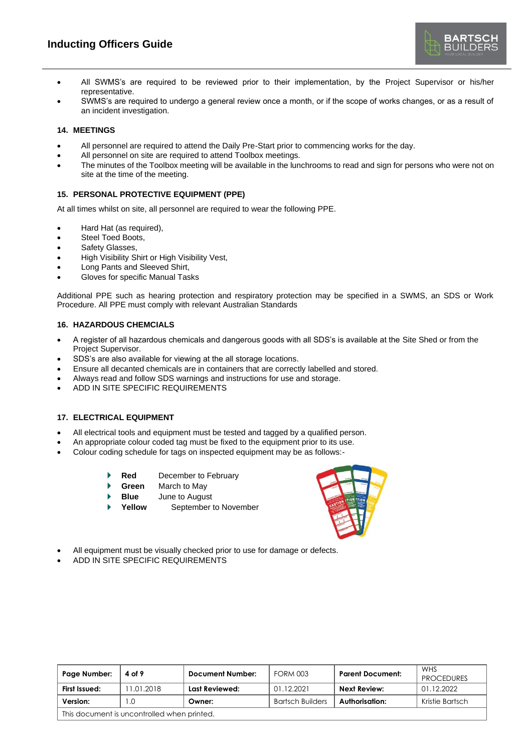- All SWMS's are required to be reviewed prior to their implementation, by the Project Supervisor or his/her representative.
- SWMS's are required to undergo a general review once a month, or if the scope of works changes, or as a result of an incident investigation.

### **14. MEETINGS**

- All personnel are required to attend the Daily Pre-Start prior to commencing works for the day.
- All personnel on site are required to attend Toolbox meetings.
- The minutes of the Toolbox meeting will be available in the lunchrooms to read and sign for persons who were not on site at the time of the meeting.

# **15. PERSONAL PROTECTIVE EQUIPMENT (PPE)**

At all times whilst on site, all personnel are required to wear the following PPE.

- Hard Hat (as required),
- Steel Toed Boots,
- Safety Glasses,
- High Visibility Shirt or High Visibility Vest,
- Long Pants and Sleeved Shirt,
- Gloves for specific Manual Tasks

Additional PPE such as hearing protection and respiratory protection may be specified in a SWMS, an SDS or Work Procedure. All PPE must comply with relevant Australian Standards

### **16. HAZARDOUS CHEMCIALS**

- A register of all hazardous chemicals and dangerous goods with all SDS's is available at the Site Shed or from the Project Supervisor.
- SDS's are also available for viewing at the all storage locations.
- Ensure all decanted chemicals are in containers that are correctly labelled and stored.
- Always read and follow SDS warnings and instructions for use and storage.
- ADD IN SITE SPECIFIC REQUIREMENTS

# **17. ELECTRICAL EQUIPMENT**

- All electrical tools and equipment must be tested and tagged by a qualified person.
- An appropriate colour coded tag must be fixed to the equipment prior to its use.
- Colour coding schedule for tags on inspected equipment may be as follows:-
	- **Red** December to February
	- **Green** March to May
	- **Blue** June to August
	- **Yellow** September to November



- All equipment must be visually checked prior to use for damage or defects.
- ADD IN SITE SPECIFIC REQUIREMENTS

| Page Number:                                | 4 of 9    | Document Number: | <b>FORM 003</b>         | <b>Parent Document:</b> | <b>WHS</b><br><b>PROCEDURES</b> |
|---------------------------------------------|-----------|------------------|-------------------------|-------------------------|---------------------------------|
| First Issued:                               | 1.01.2018 | Last Reviewed:   | 01.12.2021              | <b>Next Review:</b>     | 01.12.2022                      |
| Version:                                    | .0        | Owner:           | <b>Bartsch Builders</b> | Authorisation:          | Kristie Bartsch                 |
| This document is uncontrolled when printed. |           |                  |                         |                         |                                 |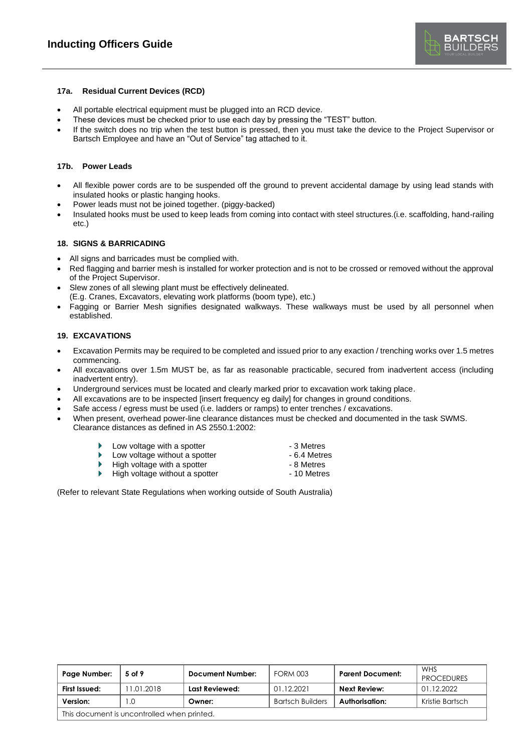### **17a. Residual Current Devices (RCD)**

- All portable electrical equipment must be plugged into an RCD device.
- These devices must be checked prior to use each day by pressing the "TEST" button.
- If the switch does no trip when the test button is pressed, then you must take the device to the Project Supervisor or Bartsch Employee and have an "Out of Service" tag attached to it.

### **17b. Power Leads**

- All flexible power cords are to be suspended off the ground to prevent accidental damage by using lead stands with insulated hooks or plastic hanging hooks.
- Power leads must not be joined together. (piggy-backed)
- Insulated hooks must be used to keep leads from coming into contact with steel structures.(i.e. scaffolding, hand-railing etc.)

#### **18. SIGNS & BARRICADING**

- All signs and barricades must be complied with.
- Red flagging and barrier mesh is installed for worker protection and is not to be crossed or removed without the approval of the Project Supervisor.
- Slew zones of all slewing plant must be effectively delineated. (E.g. Cranes, Excavators, elevating work platforms (boom type), etc.)
- Fagging or Barrier Mesh signifies designated walkways. These walkways must be used by all personnel when established.

## **19. EXCAVATIONS**

- Excavation Permits may be required to be completed and issued prior to any exaction / trenching works over 1.5 metres commencing.
- All excavations over 1.5m MUST be, as far as reasonable practicable, secured from inadvertent access (including inadvertent entry).
- Underground services must be located and clearly marked prior to excavation work taking place.
- All excavations are to be inspected [insert frequency eg daily] for changes in ground conditions.
- Safe access / egress must be used (i.e. ladders or ramps) to enter trenches / excavations.
- When present, overhead power-line clearance distances must be checked and documented in the task SWMS. Clearance distances as defined in AS 2550.1:2002:
	- Low voltage with a spotter  $\sim$  3 Metres<br>
	Low voltage without a spotter  $\sim$  6.4 Metres
	- Low voltage without a spotter  $-6.4$  Metre<br>High voltage with a spotter  $-8$  Metres ٠
	- High voltage with a spotter
	- ь High voltage without a spotter **Fighter** - 10 Metres
- 
- 
- -

(Refer to relevant State Regulations when working outside of South Australia)

| Page Number:                                | 5 of 9    | <b>Document Number:</b> | <b>FORM 003</b>         | <b>Parent Document:</b> | <b>WHS</b><br><b>PROCEDURES</b> |
|---------------------------------------------|-----------|-------------------------|-------------------------|-------------------------|---------------------------------|
| First Issued:                               | 1.01.2018 | Last Reviewed:          | 01.12.2021              | Next Review:            | 01.12.2022                      |
| Version:                                    | 0. I      | Owner:                  | <b>Bartsch Builders</b> | Authorisation:          | Kristie Bartsch                 |
| This document is uncontrolled when printed. |           |                         |                         |                         |                                 |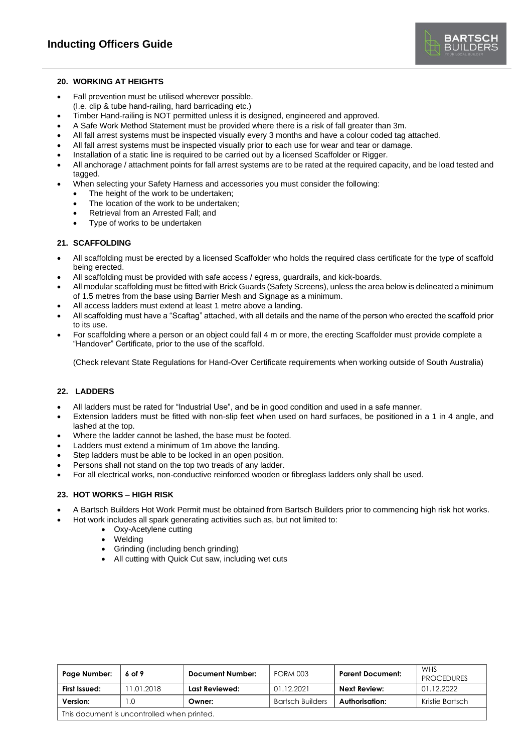

#### **20. WORKING AT HEIGHTS**

- Fall prevention must be utilised wherever possible. (I.e. clip & tube hand-railing, hard barricading etc.)
- Timber Hand-railing is NOT permitted unless it is designed, engineered and approved.
- A Safe Work Method Statement must be provided where there is a risk of fall greater than 3m.
- All fall arrest systems must be inspected visually every 3 months and have a colour coded tag attached.
- All fall arrest systems must be inspected visually prior to each use for wear and tear or damage.
- Installation of a static line is required to be carried out by a licensed Scaffolder or Rigger.
- All anchorage / attachment points for fall arrest systems are to be rated at the required capacity, and be load tested and tagged.
- When selecting your Safety Harness and accessories you must consider the following:
	- The height of the work to be undertaken:
	- The location of the work to be undertaken:
	- Retrieval from an Arrested Fall; and
	- Type of works to be undertaken

# **21. SCAFFOLDING**

- All scaffolding must be erected by a licensed Scaffolder who holds the required class certificate for the type of scaffold being erected.
- All scaffolding must be provided with safe access / egress, guardrails, and kick-boards.
- All modular scaffolding must be fitted with Brick Guards (Safety Screens), unless the area below is delineated a minimum of 1.5 metres from the base using Barrier Mesh and Signage as a minimum.
- All access ladders must extend at least 1 metre above a landing.
- All scaffolding must have a "Scaftag" attached, with all details and the name of the person who erected the scaffold prior to its use.
- For scaffolding where a person or an object could fall 4 m or more, the erecting Scaffolder must provide complete a "Handover" Certificate, prior to the use of the scaffold.

(Check relevant State Regulations for Hand-Over Certificate requirements when working outside of South Australia)

## **22. LADDERS**

- All ladders must be rated for "Industrial Use", and be in good condition and used in a safe manner.
- Extension ladders must be fitted with non-slip feet when used on hard surfaces, be positioned in a 1 in 4 angle, and lashed at the top.
- Where the ladder cannot be lashed, the base must be footed.
- Ladders must extend a minimum of 1m above the landing.
- Step ladders must be able to be locked in an open position.
- Persons shall not stand on the top two treads of any ladder.
- For all electrical works, non-conductive reinforced wooden or fibreglass ladders only shall be used.

## **23. HOT WORKS – HIGH RISK**

- A Bartsch Builders Hot Work Permit must be obtained from Bartsch Builders prior to commencing high risk hot works.
- Hot work includes all spark generating activities such as, but not limited to:
	- Oxy-Acetylene cutting
	- Welding
	- Grinding (including bench grinding)
	- All cutting with Quick Cut saw, including wet cuts

| Page Number:                                | 6 of 9    | <b>Document Number:</b> | <b>FORM 003</b>         | <b>Parent Document:</b> | WHS<br><b>PROCEDURES</b> |
|---------------------------------------------|-----------|-------------------------|-------------------------|-------------------------|--------------------------|
| First Issued:                               | 1.01.2018 | Last Reviewed:          | 01.12.2021              | <b>Next Review:</b>     | 01.12.2022               |
| Version:                                    |           | Owner:                  | <b>Bartsch Builders</b> | Authorisation:          | Kristie Bartsch          |
| This document is uncontrolled when printed. |           |                         |                         |                         |                          |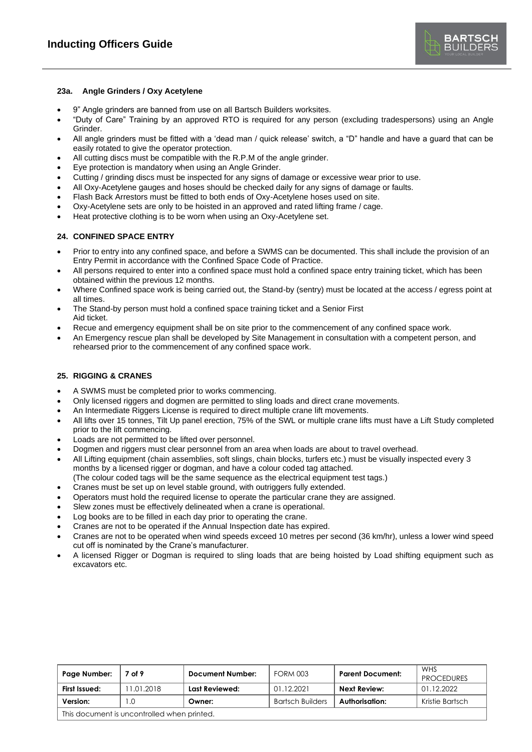

### **23a. Angle Grinders / Oxy Acetylene**

- 9" Angle grinders are banned from use on all Bartsch Builders worksites.
- "Duty of Care" Training by an approved RTO is required for any person (excluding tradespersons) using an Angle Grinder.
- All angle grinders must be fitted with a 'dead man / quick release' switch, a "D" handle and have a guard that can be easily rotated to give the operator protection.
- All cutting discs must be compatible with the R.P.M of the angle grinder.
- Eye protection is mandatory when using an Angle Grinder.
- Cutting / grinding discs must be inspected for any signs of damage or excessive wear prior to use.
- All Oxy-Acetylene gauges and hoses should be checked daily for any signs of damage or faults.
- Flash Back Arrestors must be fitted to both ends of Oxy-Acetylene hoses used on site.
- Oxy-Acetylene sets are only to be hoisted in an approved and rated lifting frame / cage.
- Heat protective clothing is to be worn when using an Oxy-Acetylene set.

### **24. CONFINED SPACE ENTRY**

- Prior to entry into any confined space, and before a SWMS can be documented. This shall include the provision of an Entry Permit in accordance with the Confined Space Code of Practice.
- All persons required to enter into a confined space must hold a confined space entry training ticket, which has been obtained within the previous 12 months.
- Where Confined space work is being carried out, the Stand-by (sentry) must be located at the access / egress point at all times.
- The Stand-by person must hold a confined space training ticket and a Senior First Aid ticket.
- Recue and emergency equipment shall be on site prior to the commencement of any confined space work.
- An Emergency rescue plan shall be developed by Site Management in consultation with a competent person, and rehearsed prior to the commencement of any confined space work.

### **25. RIGGING & CRANES**

- A SWMS must be completed prior to works commencing.
- Only licensed riggers and dogmen are permitted to sling loads and direct crane movements.
- An Intermediate Riggers License is required to direct multiple crane lift movements.
- All lifts over 15 tonnes, Tilt Up panel erection, 75% of the SWL or multiple crane lifts must have a Lift Study completed prior to the lift commencing.
- Loads are not permitted to be lifted over personnel.
- Dogmen and riggers must clear personnel from an area when loads are about to travel overhead.
- All Lifting equipment (chain assemblies, soft slings, chain blocks, turfers etc.) must be visually inspected every 3 months by a licensed rigger or dogman, and have a colour coded tag attached.
- (The colour coded tags will be the same sequence as the electrical equipment test tags.)
- Cranes must be set up on level stable ground, with outriggers fully extended.
- Operators must hold the required license to operate the particular crane they are assigned.
- Slew zones must be effectively delineated when a crane is operational.
- Log books are to be filled in each day prior to operating the crane.
- Cranes are not to be operated if the Annual Inspection date has expired.
- Cranes are not to be operated when wind speeds exceed 10 metres per second (36 km/hr), unless a lower wind speed cut off is nominated by the Crane's manufacturer.
- A licensed Rigger or Dogman is required to sling loads that are being hoisted by Load shifting equipment such as excavators etc.

| Page Number:                                | 7 of 9     | <b>Document Number:</b> | <b>FORM 003</b>         | <b>Parent Document:</b> | WHS<br><b>PROCEDURES</b> |
|---------------------------------------------|------------|-------------------------|-------------------------|-------------------------|--------------------------|
| First Issued:                               | 11.01.2018 | Last Reviewed:          | 01.12.2021              | Next Review:            | 01.12.2022               |
| Version:                                    | 0. ا       | Owner:                  | <b>Bartsch Builders</b> | Authorisation:          | Kristie Bartsch          |
| This document is uncontrolled when printed. |            |                         |                         |                         |                          |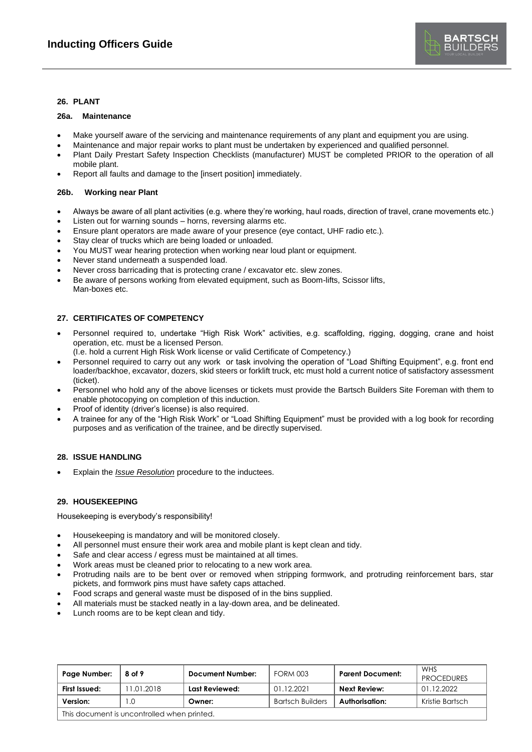### **26. PLANT**

#### **26a. Maintenance**

- Make yourself aware of the servicing and maintenance requirements of any plant and equipment you are using.
- Maintenance and major repair works to plant must be undertaken by experienced and qualified personnel.
- Plant Daily Prestart Safety Inspection Checklists (manufacturer) MUST be completed PRIOR to the operation of all mobile plant.
- Report all faults and damage to the [insert position] immediately.

#### **26b. Working near Plant**

- Always be aware of all plant activities (e.g. where they're working, haul roads, direction of travel, crane movements etc.)
- Listen out for warning sounds horns, reversing alarms etc.
- Ensure plant operators are made aware of your presence (eye contact, UHF radio etc.).
- Stay clear of trucks which are being loaded or unloaded.
- You MUST wear hearing protection when working near loud plant or equipment.
- Never stand underneath a suspended load.
- Never cross barricading that is protecting crane / excavator etc. slew zones.
- Be aware of persons working from elevated equipment, such as Boom-lifts, Scissor lifts, Man-boxes etc.

### **27. CERTIFICATES OF COMPETENCY**

- Personnel required to, undertake "High Risk Work" activities, e.g. scaffolding, rigging, dogging, crane and hoist operation, etc. must be a licensed Person.
- (I.e. hold a current High Risk Work license or valid Certificate of Competency.)
- Personnel required to carry out any work or task involving the operation of "Load Shifting Equipment", e.g. front end loader/backhoe, excavator, dozers, skid steers or forklift truck, etc must hold a current notice of satisfactory assessment (ticket).
- Personnel who hold any of the above licenses or tickets must provide the Bartsch Builders Site Foreman with them to enable photocopying on completion of this induction.
- Proof of identity (driver's license) is also required.
- A trainee for any of the "High Risk Work" or "Load Shifting Equipment" must be provided with a log book for recording purposes and as verification of the trainee, and be directly supervised.

### **28. ISSUE HANDLING**

• Explain the *Issue Resolution* procedure to the inductees.

#### **29. HOUSEKEEPING**

Housekeeping is everybody's responsibility!

- Housekeeping is mandatory and will be monitored closely.
- All personnel must ensure their work area and mobile plant is kept clean and tidy.
- Safe and clear access / egress must be maintained at all times.
- Work areas must be cleaned prior to relocating to a new work area.
- Protruding nails are to be bent over or removed when stripping formwork, and protruding reinforcement bars, star pickets, and formwork pins must have safety caps attached.
- Food scraps and general waste must be disposed of in the bins supplied.
- All materials must be stacked neatly in a lay-down area, and be delineated.
- Lunch rooms are to be kept clean and tidy.

| Page Number:                                | 8 of 9    | Document Number: | <b>FORM 003</b>         | <b>Parent Document:</b> | WHS<br><b>PROCEDURES</b> |
|---------------------------------------------|-----------|------------------|-------------------------|-------------------------|--------------------------|
| First Issued:                               | 1.01.2018 | Last Reviewed:   | 01.12.2021              | <b>Next Review:</b>     | 01.12.2022               |
| Version:                                    | .0        | Owner:           | <b>Bartsch Builders</b> | Authorisation:          | Kristie Bartsch          |
| This document is uncontrolled when printed. |           |                  |                         |                         |                          |